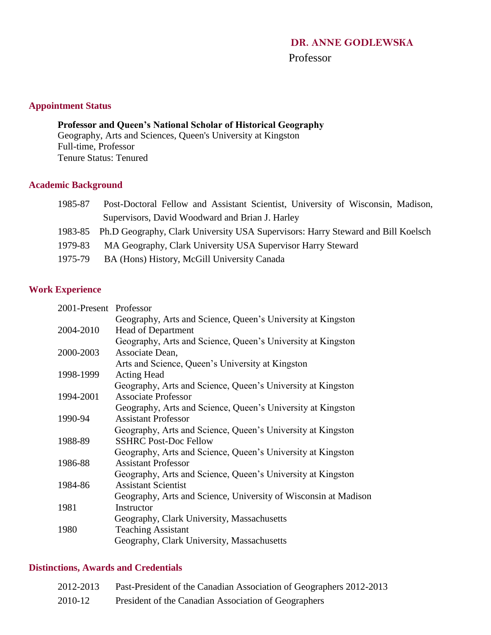# Professor

# **Appointment Status**

**Professor and Queen's National Scholar of Historical Geography** Geography, Arts and Sciences, Queen's University at Kingston Full-time, Professor Tenure Status: Tenured

## **Academic Background**

| 1985-87 | Post-Doctoral Fellow and Assistant Scientist, University of Wisconsin, Madison,          |
|---------|------------------------------------------------------------------------------------------|
|         | Supervisors, David Woodward and Brian J. Harley                                          |
|         | 1983-85 Ph.D Geography, Clark University USA Supervisors: Harry Steward and Bill Koelsch |
| 1979-83 | MA Geography, Clark University USA Supervisor Harry Steward                              |
|         |                                                                                          |

1975-79 BA (Hons) History, McGill University Canada

# **Work Experience**

| 2001-Present Professor |                                                                 |
|------------------------|-----------------------------------------------------------------|
|                        | Geography, Arts and Science, Queen's University at Kingston     |
| 2004-2010              | <b>Head of Department</b>                                       |
|                        | Geography, Arts and Science, Queen's University at Kingston     |
| 2000-2003              | Associate Dean,                                                 |
|                        | Arts and Science, Queen's University at Kingston                |
| 1998-1999              | <b>Acting Head</b>                                              |
|                        | Geography, Arts and Science, Queen's University at Kingston     |
| 1994-2001              | <b>Associate Professor</b>                                      |
|                        | Geography, Arts and Science, Queen's University at Kingston     |
| 1990-94                | <b>Assistant Professor</b>                                      |
|                        | Geography, Arts and Science, Queen's University at Kingston     |
| 1988-89                | <b>SSHRC Post-Doc Fellow</b>                                    |
|                        | Geography, Arts and Science, Queen's University at Kingston     |
| 1986-88                | <b>Assistant Professor</b>                                      |
|                        | Geography, Arts and Science, Queen's University at Kingston     |
| 1984-86                | <b>Assistant Scientist</b>                                      |
|                        | Geography, Arts and Science, University of Wisconsin at Madison |
| 1981                   | Instructor                                                      |
|                        | Geography, Clark University, Massachusetts                      |
| 1980                   | <b>Teaching Assistant</b>                                       |
|                        | Geography, Clark University, Massachusetts                      |

## **Distinctions, Awards and Credentials**

| 2012-2013 | Past-President of the Canadian Association of Geographers 2012-2013 |
|-----------|---------------------------------------------------------------------|
| 2010-12   | President of the Canadian Association of Geographers                |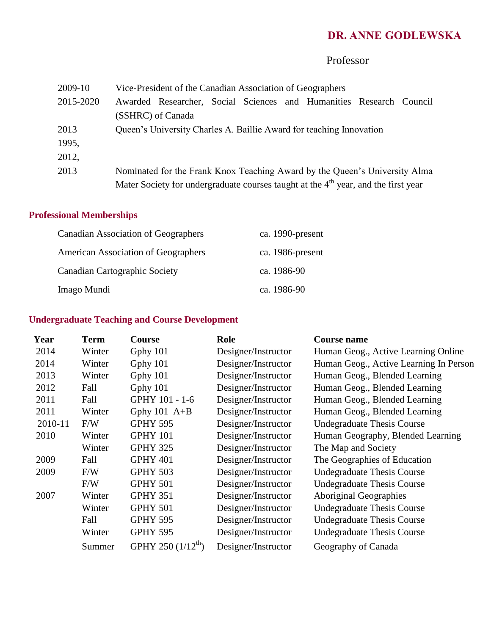# Professor

| 2009-10   | Vice-President of the Canadian Association of Geographers                            |  |  |  |  |  |  |
|-----------|--------------------------------------------------------------------------------------|--|--|--|--|--|--|
| 2015-2020 | Awarded Researcher, Social Sciences and Humanities Research Council                  |  |  |  |  |  |  |
|           | (SSHRC) of Canada                                                                    |  |  |  |  |  |  |
| 2013      | Queen's University Charles A. Baillie Award for teaching Innovation                  |  |  |  |  |  |  |
| 1995,     |                                                                                      |  |  |  |  |  |  |
| 2012,     |                                                                                      |  |  |  |  |  |  |
| 2013      | Nominated for the Frank Knox Teaching Award by the Queen's University Alma           |  |  |  |  |  |  |
|           | Mater Society for undergraduate courses taught at the $4th$ year, and the first year |  |  |  |  |  |  |

# **Professional Memberships**

| <b>Canadian Association of Geographers</b> | ca. 1990-present |
|--------------------------------------------|------------------|
| <b>American Association of Geographers</b> | ca. 1986-present |
| Canadian Cartographic Society              | ca. 1986-90      |
| Imago Mundi                                | ca. 1986-90      |

# **Undergraduate Teaching and Course Development**

| <b>Term</b> | <b>Course</b>                  | Role                | <b>Course name</b>                     |
|-------------|--------------------------------|---------------------|----------------------------------------|
| Winter      | Gphy 101                       | Designer/Instructor | Human Geog., Active Learning Online    |
| Winter      | Gphy 101                       | Designer/Instructor | Human Geog., Active Learning In Person |
| Winter      | Gphy 101                       | Designer/Instructor | Human Geog., Blended Learning          |
| Fall        | Gphy 101                       | Designer/Instructor | Human Geog., Blended Learning          |
| Fall        | GPHY 101 - 1-6                 | Designer/Instructor | Human Geog., Blended Learning          |
| Winter      | Gphy $101$ A+B                 | Designer/Instructor | Human Geog., Blended Learning          |
| F/W         | <b>GPHY 595</b>                | Designer/Instructor | <b>Undegraduate Thesis Course</b>      |
| Winter      | <b>GPHY 101</b>                | Designer/Instructor | Human Geography, Blended Learning      |
| Winter      | <b>GPHY 325</b>                | Designer/Instructor | The Map and Society                    |
| Fall        | <b>GPHY 401</b>                | Designer/Instructor | The Geographies of Education           |
| F/W         | <b>GPHY 503</b>                | Designer/Instructor | Undegraduate Thesis Course             |
| F/W         | <b>GPHY 501</b>                | Designer/Instructor | <b>Undegraduate Thesis Course</b>      |
| Winter      | <b>GPHY 351</b>                | Designer/Instructor | Aboriginal Geographies                 |
| Winter      | <b>GPHY 501</b>                | Designer/Instructor | <b>Undegraduate Thesis Course</b>      |
| Fall        | <b>GPHY 595</b>                | Designer/Instructor | Undegraduate Thesis Course             |
| Winter      | <b>GPHY 595</b>                | Designer/Instructor | <b>Undegraduate Thesis Course</b>      |
| Summer      | GPHY 250 (1/12 <sup>th</sup> ) | Designer/Instructor | Geography of Canada                    |
|             |                                |                     |                                        |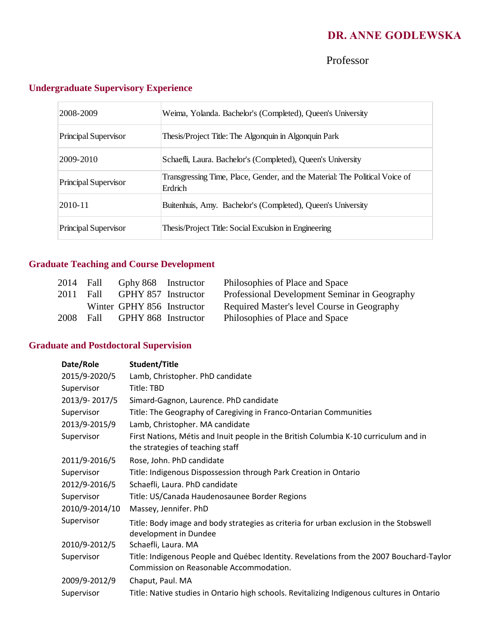Professor

| 2008-2009            | Weima, Yolanda. Bachelor's (Completed), Queen's University                             |
|----------------------|----------------------------------------------------------------------------------------|
| Principal Supervisor | Thesis/Project Title: The Algonquin in Algonquin Park                                  |
| 2009-2010            | Schaefli, Laura. Bachelor's (Completed), Queen's University                            |
| Principal Supervisor | Transgressing Time, Place, Gender, and the Material: The Political Voice of<br>Erdrich |
| 2010-11              | Buitenhuis, Amy. Bachelor's (Completed), Queen's University                            |
| Principal Supervisor | Thesis/Project Title: Social Exculsion in Engineering                                  |

# **Undergraduate Supervisory Experience**

# **Graduate Teaching and Course Development**

|      | 2014 Fall | Gphy 868 Instructor        | Philosophies of Place and Space               |
|------|-----------|----------------------------|-----------------------------------------------|
| 2011 | Fall      | GPHY 857 Instructor        | Professional Development Seminar in Geography |
|      |           | Winter GPHY 856 Instructor | Required Master's level Course in Geography   |
| 2008 | Fall      | GPHY 868 Instructor        | Philosophies of Place and Space               |

# **Graduate and Postdoctoral Supervision**

| Date/Role      | Student/Title                                                                                                                      |
|----------------|------------------------------------------------------------------------------------------------------------------------------------|
| 2015/9-2020/5  | Lamb, Christopher. PhD candidate                                                                                                   |
| Supervisor     | Title: TBD                                                                                                                         |
| 2013/9-2017/5  | Simard-Gagnon, Laurence. PhD candidate                                                                                             |
| Supervisor     | Title: The Geography of Caregiving in Franco-Ontarian Communities                                                                  |
| 2013/9-2015/9  | Lamb, Christopher. MA candidate                                                                                                    |
| Supervisor     | First Nations, Métis and Inuit people in the British Columbia K-10 curriculum and in<br>the strategies of teaching staff           |
| 2011/9-2016/5  | Rose, John. PhD candidate                                                                                                          |
| Supervisor     | Title: Indigenous Dispossession through Park Creation in Ontario                                                                   |
| 2012/9-2016/5  | Schaefli, Laura. PhD candidate                                                                                                     |
| Supervisor     | Title: US/Canada Haudenosaunee Border Regions                                                                                      |
| 2010/9-2014/10 | Massey, Jennifer. PhD                                                                                                              |
| Supervisor     | Title: Body image and body strategies as criteria for urban exclusion in the Stobswell<br>development in Dundee                    |
| 2010/9-2012/5  | Schaefli, Laura. MA                                                                                                                |
| Supervisor     | Title: Indigenous People and Québec Identity. Revelations from the 2007 Bouchard-Taylor<br>Commission on Reasonable Accommodation. |
| 2009/9-2012/9  | Chaput, Paul. MA                                                                                                                   |
| Supervisor     | Title: Native studies in Ontario high schools. Revitalizing Indigenous cultures in Ontario                                         |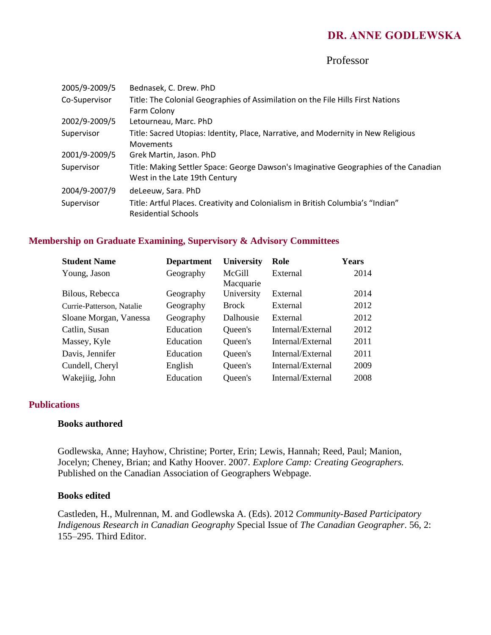## Professor

| 2005/9-2009/5 | Bednasek, C. Drew. PhD                                                               |
|---------------|--------------------------------------------------------------------------------------|
| Co-Supervisor | Title: The Colonial Geographies of Assimilation on the File Hills First Nations      |
|               | Farm Colony                                                                          |
| 2002/9-2009/5 | Letourneau, Marc. PhD                                                                |
| Supervisor    | Title: Sacred Utopias: Identity, Place, Narrative, and Modernity in New Religious    |
|               | <b>Movements</b>                                                                     |
| 2001/9-2009/5 | Grek Martin, Jason. PhD                                                              |
| Supervisor    | Title: Making Settler Space: George Dawson's Imaginative Geographies of the Canadian |
|               | West in the Late 19th Century                                                        |
| 2004/9-2007/9 | deLeeuw, Sara. PhD                                                                   |
| Supervisor    | Title: Artful Places. Creativity and Colonialism in British Columbia's "Indian"      |
|               | <b>Residential Schools</b>                                                           |

### **Membership on Graduate Examining, Supervisory & Advisory Committees**

| <b>Student Name</b>       | <b>Department</b> | <b>University</b> | Role              | <b>Years</b> |
|---------------------------|-------------------|-------------------|-------------------|--------------|
| Young, Jason              | Geography         | McGill            | External          | 2014         |
|                           |                   | Macquarie         |                   |              |
| Bilous, Rebecca           | Geography         | University        | External          | 2014         |
| Currie-Patterson, Natalie | Geography         | <b>Brock</b>      | External          | 2012         |
| Sloane Morgan, Vanessa    | Geography         | Dalhousie         | External          | 2012         |
| Catlin, Susan             | Education         | Queen's           | Internal/External | 2012         |
| Massey, Kyle              | Education         | Queen's           | Internal/External | 2011         |
| Davis, Jennifer           | Education         | Queen's           | Internal/External | 2011         |
| Cundell, Cheryl           | English           | Queen's           | Internal/External | 2009         |
| Wakejiig, John            | Education         | Queen's           | Internal/External | 2008         |

#### **Publications**

### **Books authored**

Godlewska, Anne; Hayhow, Christine; Porter, Erin; Lewis, Hannah; Reed, Paul; Manion, Jocelyn; Cheney, Brian; and Kathy Hoover. 2007. *Explore Camp: Creating Geographers.*  Published on the Canadian Association of Geographers Webpage.

#### **Books edited**

Castleden, H., Mulrennan, M. and Godlewska A. (Eds). 2012 *Community-Based Participatory Indigenous Research in Canadian Geography* Special Issue of *The Canadian Geographer*. 56, 2: 155–295. Third Editor.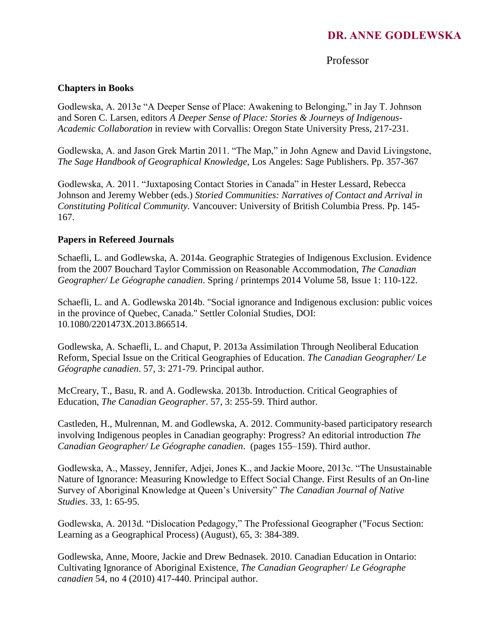# Professor

## **Chapters in Books**

Godlewska, A. 2013e "A Deeper Sense of Place: Awakening to Belonging," in Jay T. Johnson and Soren C. Larsen, editors *A Deeper Sense of Place: Stories & Journeys of Indigenous-Academic Collaboration* in review with Corvallis: Oregon State University Press, 217-231.

Godlewska, A. and Jason Grek Martin 2011. "The Map," in John Agnew and David Livingstone, *The Sage Handbook of Geographical Knowledge*, Los Angeles: Sage Publishers. Pp. 357-367

Godlewska, A. 2011. "Juxtaposing Contact Stories in Canada" in Hester Lessard, Rebecca Johnson and Jeremy Webber (eds.) *Storied Communities: Narratives of Contact and Arrival in Constituting Political Community.* Vancouver: University of British Columbia Press. Pp. 145- 167.

## **Papers in Refereed Journals**

Schaefli, L. and Godlewska, A. 2014a. Geographic Strategies of Indigenous Exclusion. Evidence from the 2007 Bouchard Taylor Commission on Reasonable Accommodation, *The Canadian Geographer/ Le Géographe canadien*. Spring / printemps 2014 Volume 58, Issue 1: 110-122.

Schaefli, L. and A. Godlewska 2014b. "Social ignorance and Indigenous exclusion: public voices in the province of Quebec, Canada." Settler Colonial Studies, DOI: 10.1080/2201473X.2013.866514.

Godlewska, A. Schaefli, L. and Chaput, P. 2013a Assimilation Through Neoliberal Education Reform, Special Issue on the Critical Geographies of Education. *The Canadian Geographer/ Le Géographe canadien*. 57, 3: 271-79. Principal author.

McCreary, T., Basu, R. and A. Godlewska. 2013b. Introduction. Critical Geographies of Education, *The Canadian Geographer*. 57, 3: 255-59. Third author.

Castleden, H., Mulrennan, M. and Godlewska, A. 2012. Community-based participatory research involving Indigenous peoples in Canadian geography: Progress? An editorial introduction *The Canadian Geographer/ Le Géographe canadien*. (pages 155–159). Third author.

Godlewska, A., Massey, Jennifer, Adjei, Jones K., and Jackie Moore, 2013c. "The Unsustainable Nature of Ignorance: Measuring Knowledge to Effect Social Change. First Results of an On-line Survey of Aboriginal Knowledge at Queen's University" *The Canadian Journal of Native Studies*. 33, 1: 65-95.

Godlewska, A. 2013d. "Dislocation Pedagogy," The Professional Geographer ("Focus Section: Learning as a Geographical Process) (August), 65, 3: 384-389.

Godlewska, Anne, Moore, Jackie and Drew Bednasek. 2010. Canadian Education in Ontario: Cultivating Ignorance of Aboriginal Existence, *The Canadian Geographer*/ *Le Géographe canadien* 54, no 4 (2010) 417-440. Principal author.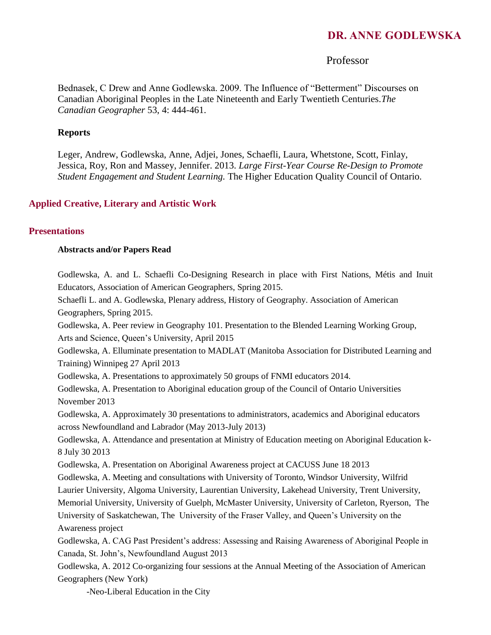## Professor

Bednasek, C Drew and Anne Godlewska. 2009. The Influence of "Betterment" Discourses on Canadian Aboriginal Peoples in the Late Nineteenth and Early Twentieth Centuries.*The Canadian Geographer* 53, 4: 444-461.

#### **Reports**

Leger, Andrew, Godlewska, Anne, Adjei, Jones, Schaefli, Laura, Whetstone, Scott, Finlay, Jessica, Roy, Ron and Massey, Jennifer. 2013. *Large First-Year Course Re-Design to Promote Student Engagement and Student Learning.* The Higher Education Quality Council of Ontario.

#### **Applied Creative, Literary and Artistic Work**

#### **Presentations**

#### **Abstracts and/or Papers Read**

Godlewska, A. and L. Schaefli Co-Designing Research in place with First Nations, Métis and Inuit Educators, Association of American Geographers, Spring 2015.

Schaefli L. and A. Godlewska, Plenary address, History of Geography. Association of American Geographers, Spring 2015.

Godlewska, A. Peer review in Geography 101. Presentation to the Blended Learning Working Group, Arts and Science, Queen's University, April 2015

Godlewska, A. Elluminate presentation to MADLAT (Manitoba Association for Distributed Learning and Training) Winnipeg 27 April 2013

Godlewska, A. Presentations to approximately 50 groups of FNMI educators 2014.

Godlewska, A. Presentation to Aboriginal education group of the Council of Ontario Universities November 2013

Godlewska, A. Approximately 30 presentations to administrators, academics and Aboriginal educators across Newfoundland and Labrador (May 2013-July 2013)

Godlewska, A. Attendance and presentation at Ministry of Education meeting on Aboriginal Education k-8 July 30 2013

Godlewska, A. Presentation on Aboriginal Awareness project at CACUSS June 18 2013

Godlewska, A. Meeting and consultations with University of Toronto, Windsor University, Wilfrid

Laurier University, Algoma University, Laurentian University, Lakehead University, Trent University,

Memorial University, University of Guelph, McMaster University, University of Carleton, Ryerson, The

University of Saskatchewan, The University of the Fraser Valley, and Queen's University on the Awareness project

Godlewska, A. CAG Past President's address: Assessing and Raising Awareness of Aboriginal People in Canada, St. John's, Newfoundland August 2013

Godlewska, A. 2012 Co-organizing four sessions at the Annual Meeting of the Association of American Geographers (New York)

-Neo-Liberal Education in the City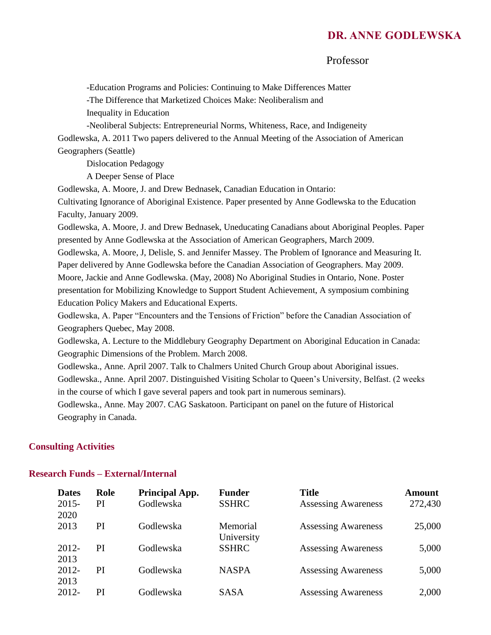## Professor

-Education Programs and Policies: Continuing to Make Differences Matter

-The Difference that Marketized Choices Make: Neoliberalism and

Inequality in Education

-Neoliberal Subjects: Entrepreneurial Norms, Whiteness, Race, and Indigeneity Godlewska, A. 2011 Two papers delivered to the Annual Meeting of the Association of American Geographers (Seattle)

Dislocation Pedagogy

A Deeper Sense of Place

Godlewska, A. Moore, J. and Drew Bednasek, Canadian Education in Ontario:

Cultivating Ignorance of Aboriginal Existence. Paper presented by Anne Godlewska to the Education Faculty, January 2009.

Godlewska, A. Moore, J. and Drew Bednasek, Uneducating Canadians about Aboriginal Peoples. Paper presented by Anne Godlewska at the Association of American Geographers, March 2009.

Godlewska, A. Moore, J, Delisle, S. and Jennifer Massey. The Problem of Ignorance and Measuring It. Paper delivered by Anne Godlewska before the Canadian Association of Geographers. May 2009. Moore, Jackie and Anne Godlewska. (May, 2008) No Aboriginal Studies in Ontario, None. Poster presentation for Mobilizing Knowledge to Support Student Achievement, A symposium combining Education Policy Makers and Educational Experts.

Godlewska, A. Paper "Encounters and the Tensions of Friction" before the Canadian Association of Geographers Quebec, May 2008.

Godlewska, A. Lecture to the Middlebury Geography Department on Aboriginal Education in Canada: Geographic Dimensions of the Problem. March 2008.

Godlewska., Anne. April 2007. Talk to Chalmers United Church Group about Aboriginal issues. Godlewska., Anne. April 2007. Distinguished Visiting Scholar to Queen's University, Belfast. (2 weeks in the course of which I gave several papers and took part in numerous seminars).

Godlewska., Anne. May 2007. CAG Saskatoon. Participant on panel on the future of Historical Geography in Canada.

#### **Consulting Activities**

#### **Research Funds – External/Internal**

| <b>Dates</b> | Role | Principal App. | <b>Funder</b> | <b>Title</b>               | <b>Amount</b> |
|--------------|------|----------------|---------------|----------------------------|---------------|
| $2015 -$     | PI   | Godlewska      | <b>SSHRC</b>  | <b>Assessing Awareness</b> | 272,430       |
| 2020         |      |                |               |                            |               |
| 2013         | PI   | Godlewska      | Memorial      | <b>Assessing Awareness</b> | 25,000        |
|              |      |                | University    |                            |               |
| 2012-        | PI   | Godlewska      | <b>SSHRC</b>  | <b>Assessing Awareness</b> | 5,000         |
| 2013         |      |                |               |                            |               |
| 2012-        | PI   | Godlewska      | <b>NASPA</b>  | <b>Assessing Awareness</b> | 5,000         |
| 2013         |      |                |               |                            |               |
| 2012-        | PI   | Godlewska      | <b>SASA</b>   | <b>Assessing Awareness</b> | 2,000         |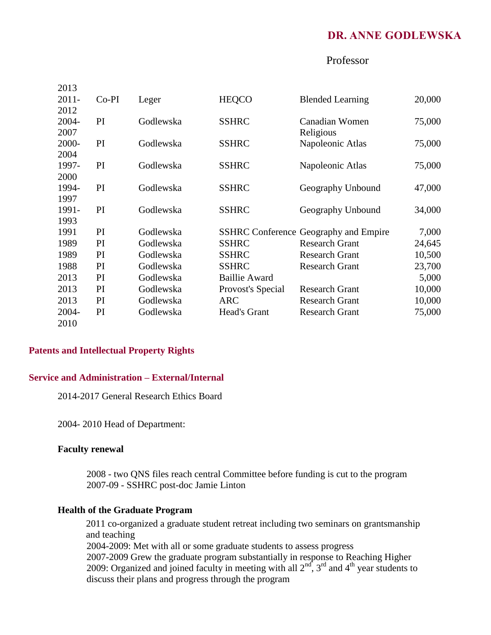## Professor

| 2013     |         |           |                      |                                              |        |
|----------|---------|-----------|----------------------|----------------------------------------------|--------|
| $2011 -$ | $Co-PI$ | Leger     | <b>HEQCO</b>         | <b>Blended Learning</b>                      | 20,000 |
| 2012     |         |           |                      |                                              |        |
| 2004-    | PI      | Godlewska | <b>SSHRC</b>         | Canadian Women                               | 75,000 |
| 2007     |         |           |                      | Religious                                    |        |
| 2000-    | PI      | Godlewska | <b>SSHRC</b>         | Napoleonic Atlas                             | 75,000 |
| 2004     |         |           |                      |                                              |        |
| 1997-    | PI      | Godlewska | <b>SSHRC</b>         | Napoleonic Atlas                             | 75,000 |
| 2000     |         |           |                      |                                              |        |
| 1994-    | PI      | Godlewska | <b>SSHRC</b>         | Geography Unbound                            | 47,000 |
| 1997     |         |           |                      |                                              |        |
| 1991-    | PI      | Godlewska | <b>SSHRC</b>         | Geography Unbound                            | 34,000 |
| 1993     |         |           |                      |                                              |        |
| 1991     | PI      | Godlewska |                      | <b>SSHRC</b> Conference Geography and Empire | 7,000  |
| 1989     | PI      | Godlewska | <b>SSHRC</b>         | <b>Research Grant</b>                        | 24,645 |
| 1989     | PI      | Godlewska | <b>SSHRC</b>         | <b>Research Grant</b>                        | 10,500 |
| 1988     | PI      | Godlewska | <b>SSHRC</b>         | <b>Research Grant</b>                        | 23,700 |
| 2013     | PI      | Godlewska | <b>Baillie Award</b> |                                              | 5,000  |
| 2013     | PI      | Godlewska | Provost's Special    | <b>Research Grant</b>                        | 10,000 |
| 2013     | PI      | Godlewska | <b>ARC</b>           | <b>Research Grant</b>                        | 10,000 |
| 2004-    | PI      | Godlewska | Head's Grant         | <b>Research Grant</b>                        | 75,000 |
| 2010     |         |           |                      |                                              |        |

## **Patents and Intellectual Property Rights**

## **Service and Administration – External/Internal**

2014-2017 General Research Ethics Board

2004- 2010 Head of Department:

#### **Faculty renewal**

2008 - two QNS files reach central Committee before funding is cut to the program 2007-09 - SSHRC post-doc Jamie Linton

#### **Health of the Graduate Program**

2011 co-organized a graduate student retreat including two seminars on grantsmanship and teaching 2004-2009: Met with all or some graduate students to assess progress 2007-2009 Grew the graduate program substantially in response to Reaching Higher 2009: Organized and joined faculty in meeting with all  $2<sup>nd</sup>$ ,  $3<sup>rd</sup>$  and  $4<sup>th</sup>$  year students to

discuss their plans and progress through the program